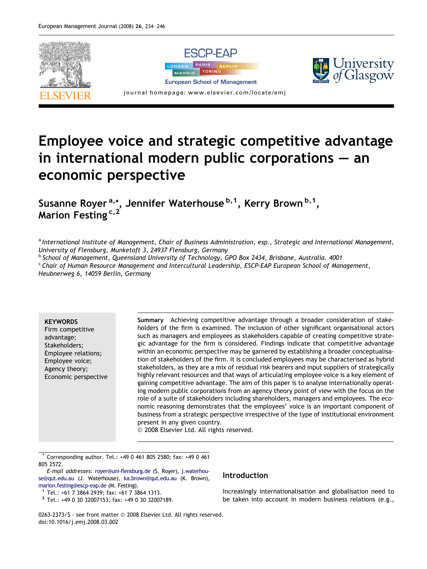

## Employee voice and strategic competitive advantage in international modern public corporations – an economic perspective

Susanne Royer<sup>a,\*</sup>, Jennifer Waterhouse<sup>b,1</sup>, Kerry Brown<sup>b,1</sup>, Marion Festing<sup>c,2</sup>

a International Institute of Management, Chair of Business Administration, esp., Strategic and International Management, University of Flensburg, Munketoft 3, 24937 Flensburg, Germany

<sup>b</sup> School of Management, Queensland University of Technology, GPO Box 2434, Brisbane, Australia. 4001

<sup>c</sup> Chair of Human Resource Management and Intercultural Leadership, ESCP-EAP European School of Management, Heubnerweg 6, 14059 Berlin, Germany

**KEYWORDS** 

Firm competitive advantage; Stakeholders; Employee relations; Employee voice; Agency theory; Economic perspective Summary Achieving competitive advantage through a broader consideration of stakeholders of the firm is examined. The inclusion of other significant organisational actors such as managers and employees as stakeholders capable of creating competitive strategic advantage for the firm is considered. Findings indicate that competitive advantage within an economic perspective may be garnered by establishing a broader conceptualisation of stakeholders of the firm. It is concluded employees may be characterised as hybrid stakeholders, as they are a mix of residual risk bearers and input suppliers of strategically highly relevant resources and that ways of articulating employee voice is a key element of gaining competitive advantage. The aim of this paper is to analyse internationally operating modern public corporations from an agency theory point of view with the focus on the role of a suite of stakeholders including shareholders, managers and employees. The economic reasoning demonstrates that the employees' voice is an important component of business from a strategic perspective irrespective of the type of institutional environment present in any given country.

- 2008 Elsevier Ltd. All rights reserved.

\* Corresponding author. Tel.: +49 0 461 805 2580; fax: +49 0 461 805 2572.

E-mail addresses: [royer@uni-flensburg.de](mailto:royer@uni-flensburg.de) (S. Royer), [j.waterhou](mailto:j.waterhouse@qut.edu.au)[se@qut.edu.au](mailto:j.waterhouse@qut.edu.au) (J. Waterhouse), [ka.brown@qut.edu.au](mailto:ka.brown@qut.edu.au) (K. Brown), [marion.festing@escp-eap.de](mailto:marion.festing@escp-eap.de) (M. Festing).<br><sup>1</sup> Tel.: +61 7 3864 2939; fax: +61 7 3864 1313.<br><sup>2</sup> Tel.: +49 0 30 32007153; fax: +49 0 30 32007189.

## Introduction

Increasingly internationalisation and globalisation need to be taken into account in modern business relations (e.g.,

0263-2373/\$ - see front matter © 2008 Elsevier Ltd. All rights reserved. doi:10.1016/j.emj.2008.03.002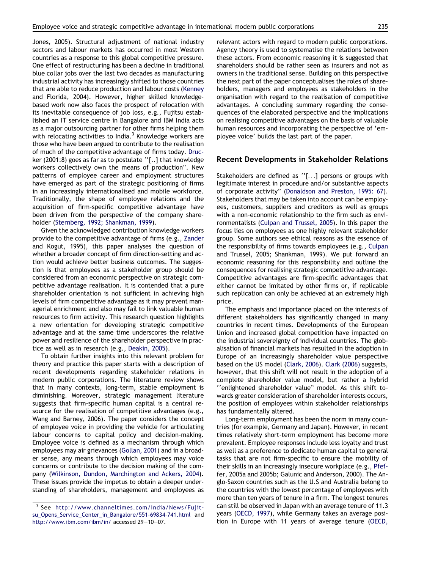[Jones, 2005\)](#page--1-0). Structural adjustment of national industry sectors and labour markets has occurred in most Western countries as a response to this global competitive pressure. One effect of restructuring has been a decline in traditional blue collar jobs over the last two decades as manufacturing industrial activity has increasingly shifted to those countries that are able to reduce production and labour costs ([Kenney](#page--1-0) [and Florida, 2004\)](#page--1-0). However, higher skilled knowledgebased work now also faces the prospect of relocation with its inevitable consequence of job loss, e.g., Fujitsu established an IT service centre in Bangalore and IBM India acts as a major outsourcing partner for other firms helping them with relocating activities to India.<sup>3</sup> Knowledge workers are those who have been argued to contribute to the realisation of much of the competitive advantage of firms today. [Druc](#page--1-0)[ker \(2001:8\)](#page--1-0) goes as far as to postulate ''[..] that knowledge workers collectively own the means of production". New patterns of employee career and employment structures have emerged as part of the strategic positioning of firms in an increasingly internationalised and mobile workforce. Traditionally, the shape of employee relations and the acquisition of firm-specific competitive advantage have been driven from the perspective of the company shareholder [\(Sternberg, 1992; Shankman, 1999](#page--1-0)).

Given the acknowledged contribution knowledge workers provide to the competitive advantage of firms (e.g., [Zander](#page--1-0) [and Kogut, 1995](#page--1-0)), this paper analyses the question of whether a broader concept of firm direction-setting and action would achieve better business outcomes. The suggestion is that employees as a stakeholder group should be considered from an economic perspective on strategic competitive advantage realisation. It is contended that a pure shareholder orientation is not sufficient in achieving high levels of firm competitive advantage as it may prevent managerial enrichment and also may fail to link valuable human resources to firm activity. This research question highlights a new orientation for developing strategic competitive advantage and at the same time underscores the relative power and resilience of the shareholder perspective in practice as well as in research (e.g., [Deakin, 2005\)](#page--1-0).

To obtain further insights into this relevant problem for theory and practice this paper starts with a description of recent developments regarding stakeholder relations in modern public corporations. The literature review shows that in many contexts, long-term, stable employment is diminishing. Moreover, strategic management literature suggests that firm-specific human capital is a central resource for the realisation of competitive advantages (e.g., [Wang and Barney, 2006\)](#page--1-0). The paper considers the concept of employee voice in providing the vehicle for articulating labour concerns to capital policy and decision-making. Employee voice is defined as a mechanism through which employees may air grievances ([Gollan, 2001](#page--1-0)) and in a broader sense, any means through which employees may voice concerns or contribute to the decision making of the company ([Wilkinson, Dundon, Marchington and Ackers, 2004\)](#page--1-0). These issues provide the impetus to obtain a deeper understanding of shareholders, management and employees as relevant actors with regard to modern public corporations. Agency theory is used to systematise the relations between these actors. From economic reasoning it is suggested that shareholders should be rather seen as insurers and not as owners in the traditional sense. Building on this perspective the next part of the paper conceptualises the roles of shareholders, managers and employees as stakeholders in the organisation with regard to the realisation of competitive advantages. A concluding summary regarding the consequences of the elaborated perspective and the implications on realising competitive advantages on the basis of valuable human resources and incorporating the perspective of 'employee voice' builds the last part of the paper.

## Recent Developments in Stakeholder Relations

Stakeholders are defined as ''[...] persons or groups with legitimate interest in procedure and/or substantive aspects of corporate activity" [\(Donaldson and Preston, 1995: 67\)](#page--1-0). Stakeholders that may be taken into account can be employees, customers, suppliers and creditors as well as groups with a non-economic relationship to the firm such as environmentalists [\(Culpan and Trussel, 2005\)](#page--1-0). In this paper the focus lies on employees as one highly relevant stakeholder group. Some authors see ethical reasons as the essence of the responsibility of firms towards employees (e.g., [Culpan](#page--1-0) [and Trussel, 2005; Shankman, 1999](#page--1-0)). We put forward an economic reasoning for this responsibility and outline the consequences for realising strategic competitive advantage. Competitive advantages are firm-specific advantages that either cannot be imitated by other firms or, if replicable such replication can only be achieved at an extremely high price.

The emphasis and importance placed on the interests of different stakeholders has significantly changed in many countries in recent times. Developments of the European Union and increased global competition have impacted on the industrial sovereignty of individual countries. The globalisation of financial markets has resulted in the adoption in Europe of an increasingly shareholder value perspective based on the US model ([Clark, 2006\)](#page--1-0). [Clark \(2006\)](#page--1-0) suggests, however, that this shift will not result in the adoption of a complete shareholder value model, but rather a hybrid ''enlightened shareholder value" model. As this shift towards greater consideration of shareholder interests occurs, the position of employees within stakeholder relationships has fundamentally altered.

Long-term employment has been the norm in many countries (for example, Germany and Japan). However, in recent times relatively short-term employment has become more prevalent. Employee responses include less loyalty and trust as well as a preference to dedicate human capital to general tasks that are not firm-specific to ensure the mobility of their skills in an increasingly insecure workplace (e.g., [Pfef](#page--1-0)[fer, 2005a and 2005b; Galunic and Anderson, 2000\)](#page--1-0). The Anglo-Saxon countries such as the U.S and Australia belong to the countries with the lowest percentage of employees with more than ten years of tenure in a firm. The longest tenures can still be observed in Japan with an average tenure of 11.3 years ([OECD, 1997\)](#page--1-0), while Germany takes an average position in Europe with 11 years of average tenure ([OECD,](#page--1-0)

<sup>3</sup> See [http://www.channeltimes.com/India/News/Fujit](http://www.channeltimes.com/India/News/Fujitsu_Opens_Service_Center_in_Bangalore/551-69834-741.html)[su\\_Opens\\_Service\\_Center\\_in\\_Bangalore/551-69834-741.html](http://www.channeltimes.com/India/News/Fujitsu_Opens_Service_Center_in_Bangalore/551-69834-741.html) and <http://www.ibm.com/ibm/in/> accessed 29–10–07.